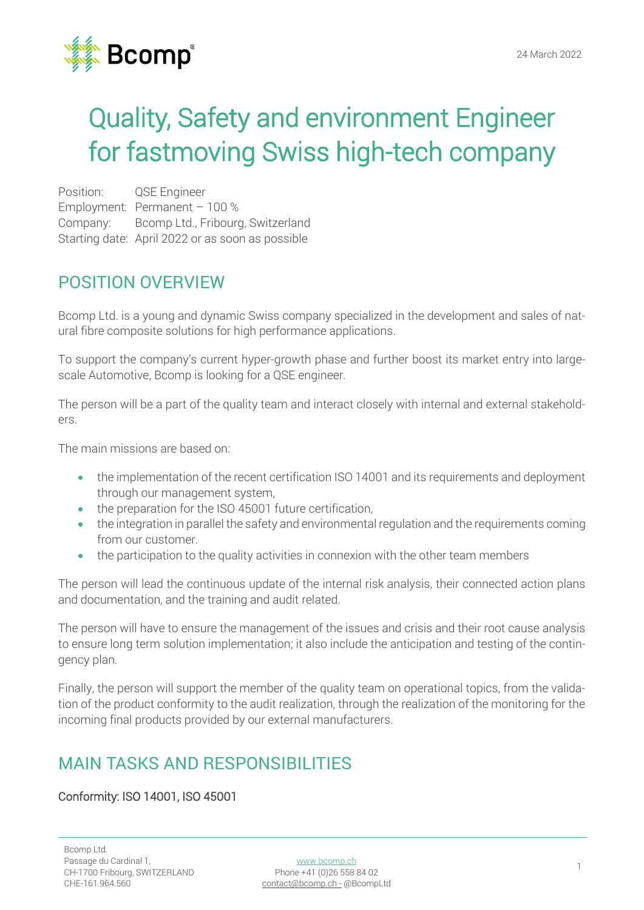

# Quality, Safety and environment Engineer for fastmoving Swiss high-tech company

Position: QSE Engineer Employment: Permanent – 100 % Company: Bcomp Ltd., Fribourg, Switzerland Starting date: April 2022 or as soon as possible

## POSITION OVERVIEW

Bcomp Ltd. is a young and dynamic Swiss company specialized in the development and sales of natural fibre composite solutions for high performance applications.

To support the company's current hyper-growth phase and further boost its market entry into largescale Automotive, Bcomp is looking for a QSE engineer.

The person will be a part of the quality team and interact closely with internal and external stakeholders.

The main missions are based on:

- the implementation of the recent certification ISO 14001 and its requirements and deployment through our management system,
- the preparation for the ISO 45001 future certification,
- the integration in parallel the safety and environmental regulation and the requirements coming from our customer.
- the participation to the quality activities in connexion with the other team members

The person will lead the continuous update of the internal risk analysis, their connected action plans and documentation, and the training and audit related.

The person will have to ensure the management of the issues and crisis and their root cause analysis to ensure long term solution implementation; it also include the anticipation and testing of the contingency plan.

Finally, the person will support the member of the quality team on operational topics, from the validation of the product conformity to the audit realization, through the realization of the monitoring for the incoming final products provided by our external manufacturers.

## MAIN TASKS AND RESPONSIBILITIES

### Conformity: ISO 14001, ISO 45001